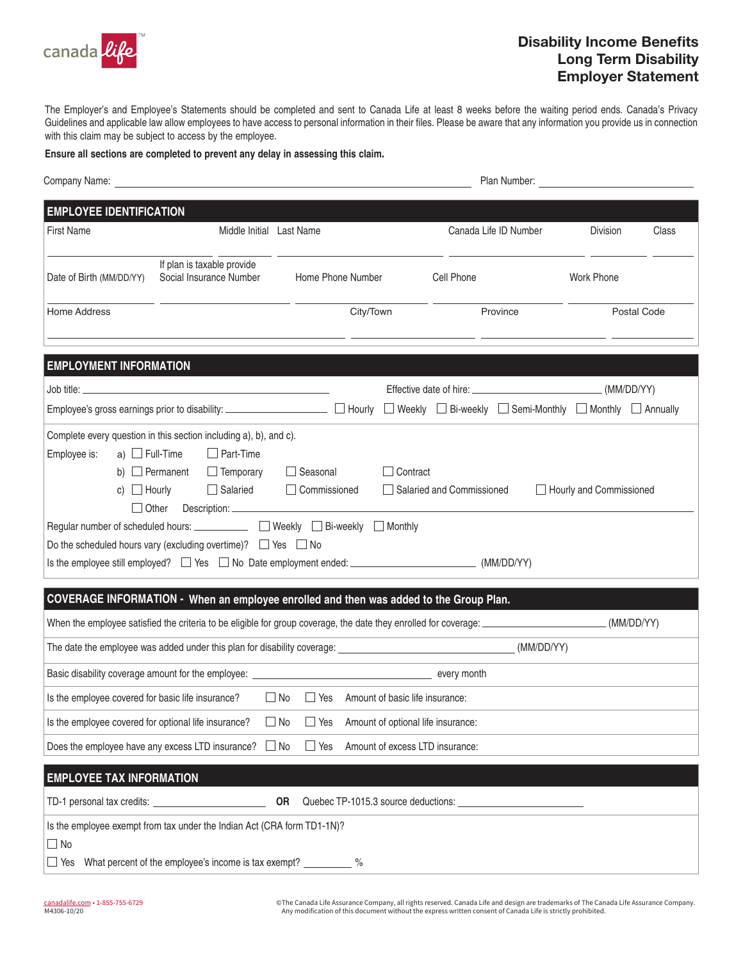

## Disability Income Benefits Long Term Disability Employer Statement

The Employer's and Employee's Statements should be completed and sent to Canada Life at least 8 weeks before the waiting period ends. Canada's Privacy Guidelines and applicable law allow employees to have access to personal information in their files. Please be aware that any information you provide us in connection with this claim may be subject to access by the employee.

**Ensure all sections are completed to prevent any delay in assessing this claim.**

|                                                                                                              | Company Name: <u>company Name:</u> company Name: company Name: company Name: company Name: company Name: company Name: company Name: company Name: company Name: company Name: company Name: company Name: company Name: company Na                                                                                                                   |                          |                                    |                                                                                                                                       | Plan Number: <u>New York State Andrew William State Andrew William State Andrew William State Andrew Williams</u> |             |
|--------------------------------------------------------------------------------------------------------------|-------------------------------------------------------------------------------------------------------------------------------------------------------------------------------------------------------------------------------------------------------------------------------------------------------------------------------------------------------|--------------------------|------------------------------------|---------------------------------------------------------------------------------------------------------------------------------------|-------------------------------------------------------------------------------------------------------------------|-------------|
| <b>EMPLOYEE IDENTIFICATION</b>                                                                               |                                                                                                                                                                                                                                                                                                                                                       |                          |                                    |                                                                                                                                       |                                                                                                                   |             |
| <b>First Name</b>                                                                                            | Middle Initial Last Name                                                                                                                                                                                                                                                                                                                              |                          |                                    | Canada Life ID Number                                                                                                                 | <b>Division</b>                                                                                                   | Class       |
| Date of Birth (MM/DD/YY)                                                                                     | If plan is taxable provide<br>Social Insurance Number                                                                                                                                                                                                                                                                                                 |                          | Home Phone Number                  | Cell Phone                                                                                                                            | <b>Work Phone</b>                                                                                                 |             |
| Home Address                                                                                                 |                                                                                                                                                                                                                                                                                                                                                       |                          | City/Town                          | Province                                                                                                                              |                                                                                                                   | Postal Code |
| <b>EMPLOYMENT INFORMATION</b>                                                                                |                                                                                                                                                                                                                                                                                                                                                       |                          |                                    |                                                                                                                                       |                                                                                                                   |             |
|                                                                                                              | Job title:                                                                                                                                                                                                                                                                                                                                            |                          |                                    |                                                                                                                                       |                                                                                                                   |             |
|                                                                                                              |                                                                                                                                                                                                                                                                                                                                                       |                          |                                    | Employee's gross earnings prior to disability: ____________________ □ Hourly □ Weekly □ Bi-weekly □ Semi-Monthly □ Monthly □ Annually |                                                                                                                   |             |
| c) $\Box$ Hourly                                                                                             | b) $\Box$ Permanent<br>$\Box$ Temporary<br>$\Box$ Salaried<br>Other<br>Regular number of scheduled hours: ____________ □ Weekly □ Bi-weekly □ Monthly<br>Do the scheduled hours vary (excluding overtime)? $\Box$ Yes $\Box$ No<br>Is the employee still employed? $\Box$ Yes $\Box$ No Date employment ended: $\Box$ $\Box$ $\Box$ $\Box$ (MM/DD/YY) | Seasonal<br>Commissioned | $\Box$ Contract                    | □ Salaried and Commissioned                                                                                                           | Hourly and Commissioned                                                                                           |             |
|                                                                                                              | COVERAGE INFORMATION - When an employee enrolled and then was added to the Group Plan.                                                                                                                                                                                                                                                                |                          |                                    |                                                                                                                                       |                                                                                                                   |             |
|                                                                                                              |                                                                                                                                                                                                                                                                                                                                                       |                          |                                    |                                                                                                                                       |                                                                                                                   |             |
| The date the employee was added under this plan for disability coverage: (MM/DD/YY)                          |                                                                                                                                                                                                                                                                                                                                                       |                          |                                    |                                                                                                                                       |                                                                                                                   |             |
| Is the employee covered for basic life insurance? $\square$ No $\square$ Yes Amount of basic life insurance: |                                                                                                                                                                                                                                                                                                                                                       |                          |                                    |                                                                                                                                       |                                                                                                                   |             |
|                                                                                                              |                                                                                                                                                                                                                                                                                                                                                       |                          |                                    |                                                                                                                                       |                                                                                                                   |             |
| Is the employee covered for optional life insurance?                                                         |                                                                                                                                                                                                                                                                                                                                                       | $\Box$ No<br>$\Box$ Yes  | Amount of optional life insurance: |                                                                                                                                       |                                                                                                                   |             |
|                                                                                                              | Does the employee have any excess LTD insurance?                                                                                                                                                                                                                                                                                                      | $\Box$ No<br>$\Box$ Yes  | Amount of excess LTD insurance:    |                                                                                                                                       |                                                                                                                   |             |
| <b>EMPLOYEE TAX INFORMATION</b>                                                                              |                                                                                                                                                                                                                                                                                                                                                       |                          |                                    |                                                                                                                                       |                                                                                                                   |             |
|                                                                                                              |                                                                                                                                                                                                                                                                                                                                                       | <b>OR</b>                |                                    |                                                                                                                                       |                                                                                                                   |             |
| $\Box$ No                                                                                                    | Is the employee exempt from tax under the Indian Act (CRA form TD1-1N)?                                                                                                                                                                                                                                                                               |                          |                                    |                                                                                                                                       |                                                                                                                   |             |
| Yes                                                                                                          | What percent of the employee's income is tax exempt?                                                                                                                                                                                                                                                                                                  |                          | $\%$                               |                                                                                                                                       |                                                                                                                   |             |

©The Canada Life Assurance Company, all rights reserved. Canada Life and design are trademarks of The Canada Life Assurance Company.<br>Any modification of this document without the express written consent of Canada Life is s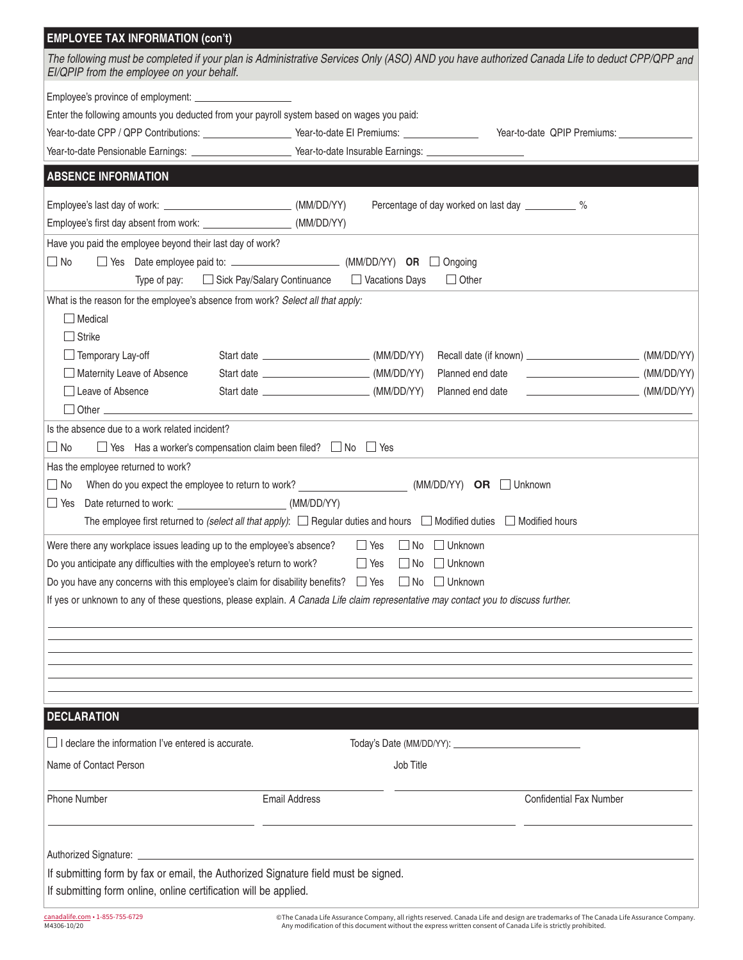| <b>EMPLOYEE TAX INFORMATION (con't)</b>                                                                                                                                                   |                      |                                                    |                                         |
|-------------------------------------------------------------------------------------------------------------------------------------------------------------------------------------------|----------------------|----------------------------------------------------|-----------------------------------------|
| The following must be completed if your plan is Administrative Services Only (ASO) AND you have authorized Canada Life to deduct CPP/QPP and<br>EI/QPIP from the employee on your behalf. |                      |                                                    |                                         |
|                                                                                                                                                                                           |                      |                                                    |                                         |
| Enter the following amounts you deducted from your payroll system based on wages you paid:                                                                                                |                      |                                                    |                                         |
| Year-to-date CPP / QPP Contributions: ____________________Year-to-date El Premiums: _______________ Year-to-date QPIP Premiums: ____________                                              |                      |                                                    |                                         |
| Year-to-date Pensionable Earnings: _________________________Year-to-date Insurable Earnings: _________________                                                                            |                      |                                                    |                                         |
| <b>ABSENCE INFORMATION</b>                                                                                                                                                                |                      |                                                    |                                         |
|                                                                                                                                                                                           |                      | Percentage of day worked on last day ___________ % |                                         |
| Employee's first day absent from work: _______________________ (MM/DD/YY)                                                                                                                 |                      |                                                    |                                         |
|                                                                                                                                                                                           |                      |                                                    |                                         |
| Have you paid the employee beyond their last day of work?                                                                                                                                 |                      |                                                    |                                         |
| $\Box$ No                                                                                                                                                                                 |                      |                                                    |                                         |
| Sick Pay/Salary Continuance<br>Type of pay:                                                                                                                                               | Vacations Days       | $\Box$ Other                                       |                                         |
| What is the reason for the employee's absence from work? Select all that apply:                                                                                                           |                      |                                                    |                                         |
| <b>Medical</b>                                                                                                                                                                            |                      |                                                    |                                         |
| $\Box$ Strike                                                                                                                                                                             |                      |                                                    |                                         |
| $\Box$ Temporary Lay-off                                                                                                                                                                  |                      |                                                    |                                         |
| Maternity Leave of Absence                                                                                                                                                                |                      | Planned end date                                   |                                         |
| $\Box$ Leave of Absence                                                                                                                                                                   |                      | Planned end date                                   | $\overbrace{\hspace{2.5cm}}$ (MM/DD/YY) |
| Other <b>Communication</b> Other <b>Communication</b>                                                                                                                                     |                      |                                                    |                                         |
| Is the absence due to a work related incident?                                                                                                                                            |                      |                                                    |                                         |
| $\Box$ No<br>$\Box$ Yes Has a worker's compensation claim been filed? $\Box$ No $\Box$ Yes                                                                                                |                      |                                                    |                                         |
| Has the employee returned to work?                                                                                                                                                        |                      |                                                    |                                         |
|                                                                                                                                                                                           |                      |                                                    |                                         |
| When do you expect the employee to return to work? (MM/DD/YY) OR $\Box$ Unknown<br>$\Box$ No                                                                                              |                      |                                                    |                                         |
| Date returned to work: (MM/DD/YY)<br>$\Box$ Yes                                                                                                                                           |                      |                                                    |                                         |
| The employee first returned to (select all that apply): $\Box$ Regular duties and hours $\Box$ Modified duties $\Box$ Modified hours                                                      |                      |                                                    |                                         |
|                                                                                                                                                                                           |                      |                                                    |                                         |
| Were there any workplace issues leading up to the employee's absence?                                                                                                                     | $\Box$ Yes           | $\Box$ No $\Box$ Unknown                           |                                         |
| Do you anticipate any difficulties with the employee's return to work?                                                                                                                    | $\Box$ Yes           | $\Box$ No $\Box$ Unknown                           |                                         |
| Do you have any concerns with this employee's claim for disability benefits? $\Box$ Yes $\Box$ No $\Box$ Unknown                                                                          |                      |                                                    |                                         |
| If yes or unknown to any of these questions, please explain. A Canada Life claim representative may contact you to discuss further.                                                       |                      |                                                    |                                         |
|                                                                                                                                                                                           |                      |                                                    |                                         |
|                                                                                                                                                                                           |                      |                                                    |                                         |
|                                                                                                                                                                                           |                      |                                                    |                                         |
|                                                                                                                                                                                           |                      |                                                    |                                         |
|                                                                                                                                                                                           |                      |                                                    |                                         |
| <b>DECLARATION</b>                                                                                                                                                                        |                      |                                                    |                                         |
|                                                                                                                                                                                           |                      |                                                    |                                         |
| I declare the information I've entered is accurate.                                                                                                                                       |                      |                                                    |                                         |
| Name of Contact Person                                                                                                                                                                    | Job Title            |                                                    |                                         |
|                                                                                                                                                                                           |                      |                                                    |                                         |
| <b>Phone Number</b>                                                                                                                                                                       | <b>Email Address</b> | <b>Confidential Fax Number</b>                     |                                         |
|                                                                                                                                                                                           |                      |                                                    |                                         |
|                                                                                                                                                                                           |                      |                                                    |                                         |
|                                                                                                                                                                                           |                      |                                                    |                                         |
| If submitting form by fax or email, the Authorized Signature field must be signed.<br>If submitting form online, online certification will be applied.                                    |                      |                                                    |                                         |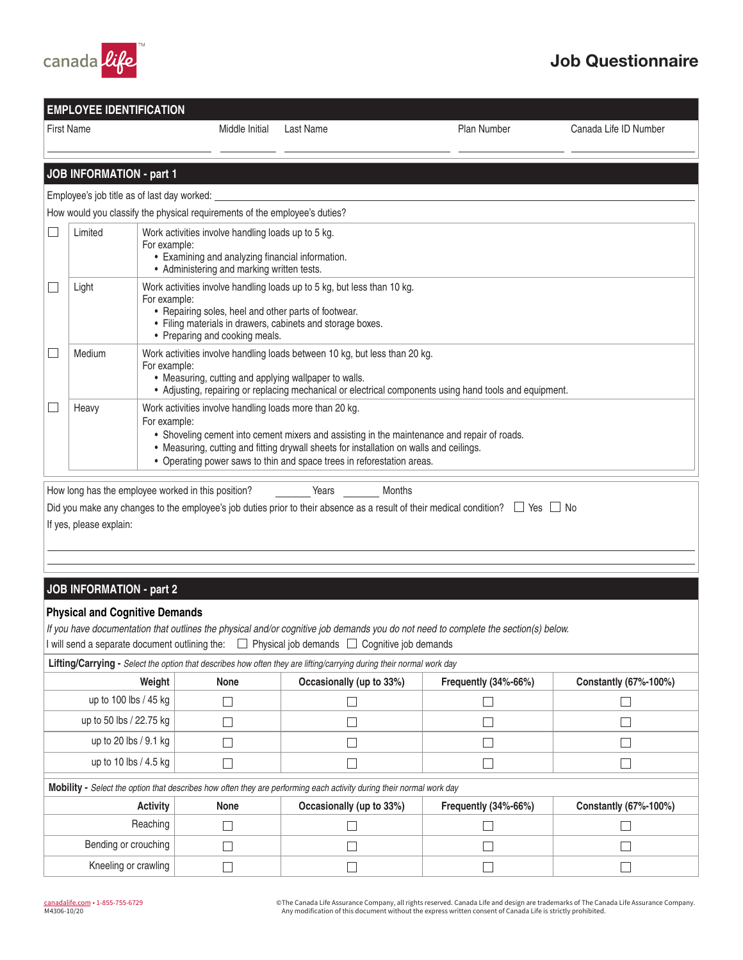

## Job Questionnaire

| <b>EMPLOYEE IDENTIFICATION</b>                                                                                                                                                                                                                |                                                                                                                                                                                                                                                                                                                                                      |                                                                                                                                                                                                                                                 |                  |                                                                                                         |                       |  |
|-----------------------------------------------------------------------------------------------------------------------------------------------------------------------------------------------------------------------------------------------|------------------------------------------------------------------------------------------------------------------------------------------------------------------------------------------------------------------------------------------------------------------------------------------------------------------------------------------------------|-------------------------------------------------------------------------------------------------------------------------------------------------------------------------------------------------------------------------------------------------|------------------|---------------------------------------------------------------------------------------------------------|-----------------------|--|
|                                                                                                                                                                                                                                               | <b>First Name</b>                                                                                                                                                                                                                                                                                                                                    | Middle Initial                                                                                                                                                                                                                                  | <b>Last Name</b> | Plan Number                                                                                             | Canada Life ID Number |  |
|                                                                                                                                                                                                                                               |                                                                                                                                                                                                                                                                                                                                                      |                                                                                                                                                                                                                                                 |                  |                                                                                                         |                       |  |
|                                                                                                                                                                                                                                               | <b>JOB INFORMATION - part 1</b>                                                                                                                                                                                                                                                                                                                      |                                                                                                                                                                                                                                                 |                  |                                                                                                         |                       |  |
|                                                                                                                                                                                                                                               |                                                                                                                                                                                                                                                                                                                                                      | Employee's job title as of last day worked:                                                                                                                                                                                                     |                  |                                                                                                         |                       |  |
|                                                                                                                                                                                                                                               |                                                                                                                                                                                                                                                                                                                                                      | How would you classify the physical requirements of the employee's duties?                                                                                                                                                                      |                  |                                                                                                         |                       |  |
|                                                                                                                                                                                                                                               | Limited                                                                                                                                                                                                                                                                                                                                              | Work activities involve handling loads up to 5 kg.<br>For example:<br>• Examining and analyzing financial information.<br>• Administering and marking written tests.                                                                            |                  |                                                                                                         |                       |  |
|                                                                                                                                                                                                                                               | Light                                                                                                                                                                                                                                                                                                                                                | Work activities involve handling loads up to 5 kg, but less than 10 kg.<br>For example:<br>• Repairing soles, heel and other parts of footwear.<br>• Filing materials in drawers, cabinets and storage boxes.<br>• Preparing and cooking meals. |                  |                                                                                                         |                       |  |
|                                                                                                                                                                                                                                               | Medium                                                                                                                                                                                                                                                                                                                                               | Work activities involve handling loads between 10 kg, but less than 20 kg.<br>For example:<br>• Measuring, cutting and applying wallpaper to walls.                                                                                             |                  | • Adjusting, repairing or replacing mechanical or electrical components using hand tools and equipment. |                       |  |
|                                                                                                                                                                                                                                               | Work activities involve handling loads more than 20 kg.<br>Heavy<br>For example:<br>• Shoveling cement into cement mixers and assisting in the maintenance and repair of roads.<br>• Measuring, cutting and fitting drywall sheets for installation on walls and ceilings.<br>• Operating power saws to thin and space trees in reforestation areas. |                                                                                                                                                                                                                                                 |                  |                                                                                                         |                       |  |
| Months<br>How long has the employee worked in this position?<br>Years<br>Did you make any changes to the employee's job duties prior to their absence as a result of their medical condition? $\Box$ Yes $\Box$ No<br>If yes, please explain: |                                                                                                                                                                                                                                                                                                                                                      |                                                                                                                                                                                                                                                 |                  |                                                                                                         |                       |  |
|                                                                                                                                                                                                                                               |                                                                                                                                                                                                                                                                                                                                                      |                                                                                                                                                                                                                                                 |                  |                                                                                                         |                       |  |
|                                                                                                                                                                                                                                               | <b>JOB INFORMATION - part 2</b>                                                                                                                                                                                                                                                                                                                      |                                                                                                                                                                                                                                                 |                  |                                                                                                         |                       |  |
|                                                                                                                                                                                                                                               |                                                                                                                                                                                                                                                                                                                                                      | <b>Physical and Cognitive Demands</b>                                                                                                                                                                                                           |                  |                                                                                                         |                       |  |

*If you have documentation that outlines the physical and/or cognitive job demands you do not need to complete the section(s) below.*

I will send a separate document outlining the:  $\Box$  Physical job demands  $\Box$  Cognitive job demands

| Lifting/Carrying - Select the option that describes how often they are lifting/carrying during their normal work day        |      |                          |                         |                       |  |  |
|-----------------------------------------------------------------------------------------------------------------------------|------|--------------------------|-------------------------|-----------------------|--|--|
| Weight                                                                                                                      | None | Occasionally (up to 33%) | Frequently $(34% -66%)$ | Constantly (67%-100%) |  |  |
| up to 100 lbs / 45 kg                                                                                                       |      |                          |                         |                       |  |  |
| up to 50 lbs / 22.75 kg                                                                                                     |      |                          |                         |                       |  |  |
| up to 20 lbs $/$ 9.1 kg                                                                                                     |      |                          |                         |                       |  |  |
| up to 10 lbs / 4.5 kg                                                                                                       |      |                          |                         |                       |  |  |
| <b>Mobility</b> - Select the option that describes how often they are performing each activity during their normal work day |      |                          |                         |                       |  |  |
| <b>Activity</b>                                                                                                             | None | Occasionally (up to 33%) | Frequently (34%-66%)    | Constantly (67%-100%) |  |  |
| Reaching                                                                                                                    |      |                          |                         |                       |  |  |
| Bending or crouching                                                                                                        |      |                          |                         |                       |  |  |
| Kneeling or crawling                                                                                                        |      |                          |                         |                       |  |  |

©The Canada Life Assurance Company, all rights reserved. Canada Life and design are trademarks of The Canada Life Assurance Company.<br>Any modification of this document without the express written consent of Canada Life is s